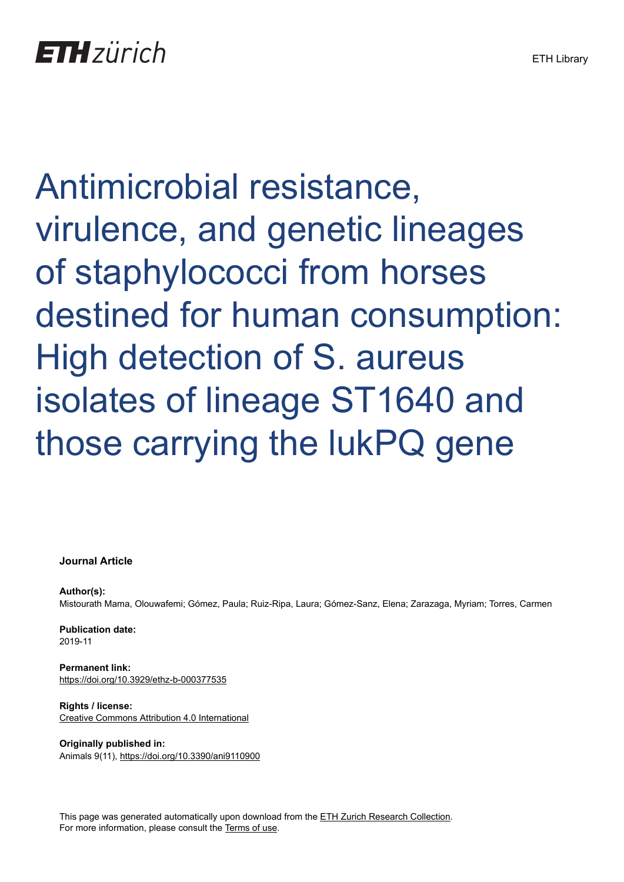Antimicrobial resistance, virulence, and genetic lineages of staphylococci from horses destined for human consumption: High detection of S. aureus isolates of lineage ST1640 and those carrying the lukPQ gene

# **Journal Article**

**Author(s):** Mistourath Mama, Olouwafemi; Gómez, Paula; Ruiz-Ripa, Laura; Gómez-Sanz, Elena; Zarazaga, Myriam; Torres, Carmen

**Publication date:** 2019-11

**Permanent link:** <https://doi.org/10.3929/ethz-b-000377535>

**Rights / license:** [Creative Commons Attribution 4.0 International](http://creativecommons.org/licenses/by/4.0/)

**Originally published in:** Animals 9(11), <https://doi.org/10.3390/ani9110900>

This page was generated automatically upon download from the [ETH Zurich Research Collection.](https://www.research-collection.ethz.ch) For more information, please consult the [Terms of use](https://www.research-collection.ethz.ch/terms-of-use).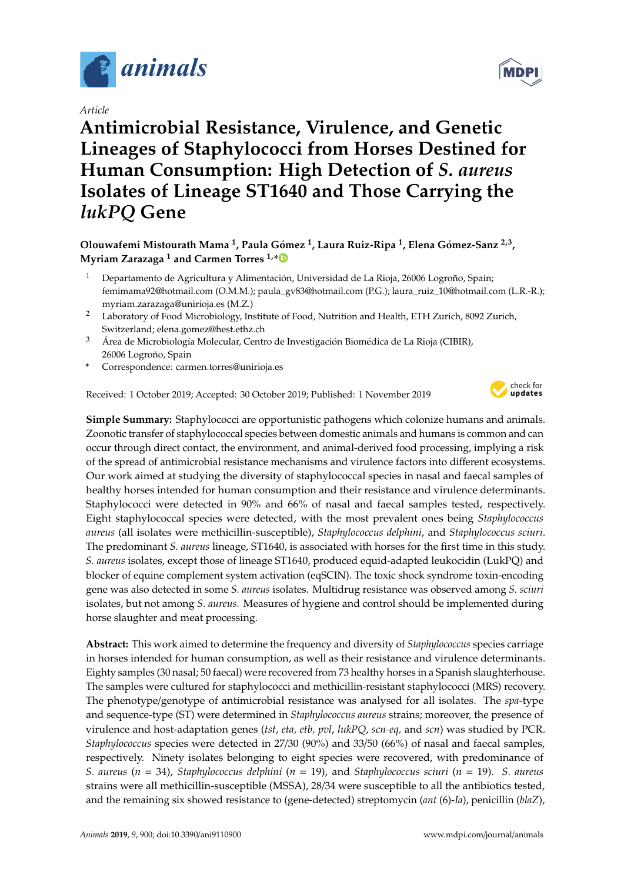

*Article*

# **Antimicrobial Resistance, Virulence, and Genetic Lineages of Staphylococci from Horses Destined for Human Consumption: High Detection of** *S. aureus* **Isolates of Lineage ST1640 and Those Carrying the** *lukPQ* **Gene**

**Olouwafemi Mistourath Mama <sup>1</sup> , Paula Gómez <sup>1</sup> , Laura Ruiz-Ripa <sup>1</sup> , Elena Gómez-Sanz 2,3 , Myriam Zarazaga <sup>1</sup> and Carmen Torres 1,[\\*](https://orcid.org/0000-0003-3709-1690)**

- <sup>1</sup> Departamento de Agricultura y Alimentación, Universidad de La Rioja, 26006 Logroño, Spain; femimama92@hotmail.com (O.M.M.); paula\_gv83@hotmail.com (P.G.); laura\_ruiz\_10@hotmail.com (L.R.-R.); myriam.zarazaga@unirioja.es (M.Z.)
- <sup>2</sup> Laboratory of Food Microbiology, Institute of Food, Nutrition and Health, ETH Zurich, 8092 Zurich, Switzerland; elena.gomez@hest.ethz.ch
- <sup>3</sup> Área de Microbiología Molecular, Centro de Investigación Biomédica de La Rioja (CIBIR), 26006 Logroño, Spain
- **\*** Correspondence: carmen.torres@unirioja.es

Received: 1 October 2019; Accepted: 30 October 2019; Published: 1 November 2019



**Simple Summary:** Staphylococci are opportunistic pathogens which colonize humans and animals. Zoonotic transfer of staphylococcal species between domestic animals and humans is common and can occur through direct contact, the environment, and animal-derived food processing, implying a risk of the spread of antimicrobial resistance mechanisms and virulence factors into different ecosystems. Our work aimed at studying the diversity of staphylococcal species in nasal and faecal samples of healthy horses intended for human consumption and their resistance and virulence determinants. Staphylococci were detected in 90% and 66% of nasal and faecal samples tested, respectively. Eight staphylococcal species were detected, with the most prevalent ones being *Staphylococcus aureus* (all isolates were methicillin-susceptible), *Staphylococcus delphini*, and *Staphylococcus sciuri*. The predominant *S. aureus* lineage, ST1640, is associated with horses for the first time in this study. *S. aureus* isolates, except those of lineage ST1640, produced equid-adapted leukocidin (LukPQ) and blocker of equine complement system activation (eqSCIN). The toxic shock syndrome toxin-encoding gene was also detected in some *S. aureus* isolates. Multidrug resistance was observed among *S. sciuri* isolates, but not among *S. aureus.* Measures of hygiene and control should be implemented during horse slaughter and meat processing.

**Abstract:** This work aimed to determine the frequency and diversity of *Staphylococcus* species carriage in horses intended for human consumption, as well as their resistance and virulence determinants. Eighty samples (30 nasal; 50 faecal) were recovered from 73 healthy horses in a Spanish slaughterhouse. The samples were cultured for staphylococci and methicillin-resistant staphylococci (MRS) recovery. The phenotype/genotype of antimicrobial resistance was analysed for all isolates. The *spa*-type and sequence-type (ST) were determined in *Staphylococcus aureus* strains; moreover, the presence of virulence and host-adaptation genes (*tst*, *eta, etb, pvl*, *lukPQ*, *scn-eq,* and *scn*) was studied by PCR. *Staphylococcus* species were detected in 27/30 (90%) and 33/50 (66%) of nasal and faecal samples, respectively. Ninety isolates belonging to eight species were recovered, with predominance of *S. aureus* (*n* = 34), *Staphylococcus delphini* (*n* = 19), and *Staphylococcus sciuri* (*n* = 19). *S. aureus* strains were all methicillin-susceptible (MSSA), 28/34 were susceptible to all the antibiotics tested, and the remaining six showed resistance to (gene-detected) streptomycin (*ant* (6)-*Ia*), penicillin (*blaZ*),

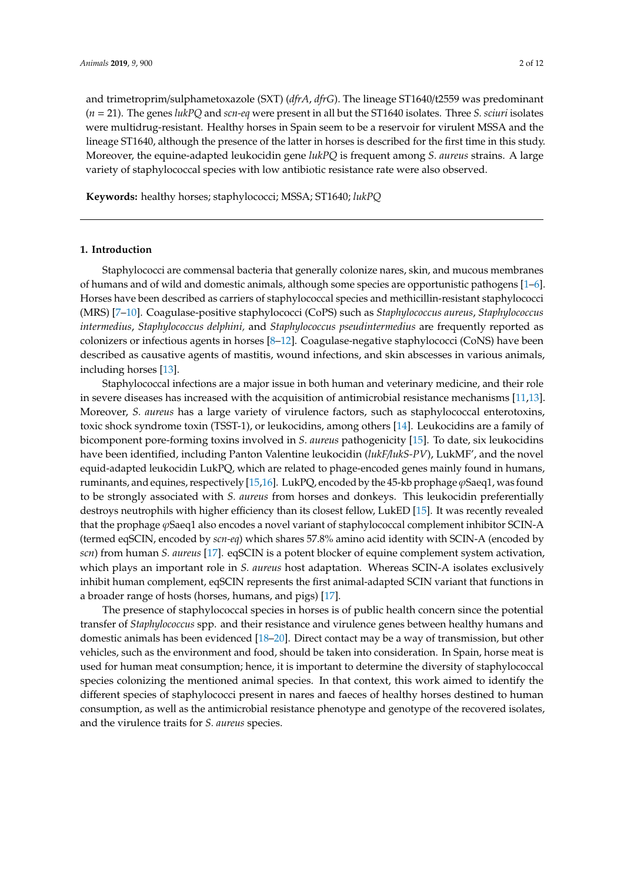and trimetroprim/sulphametoxazole (SXT) (*dfrA*, *dfrG*). The lineage ST1640/t2559 was predominant (*n* = 21). The genes *lukPQ* and *scn-eq* were present in all but the ST1640 isolates. Three *S. sciuri* isolates were multidrug-resistant. Healthy horses in Spain seem to be a reservoir for virulent MSSA and the lineage ST1640, although the presence of the latter in horses is described for the first time in this study. Moreover, the equine-adapted leukocidin gene *lukPQ* is frequent among *S. aureus* strains. A large variety of staphylococcal species with low antibiotic resistance rate were also observed.

**Keywords:** healthy horses; staphylococci; MSSA; ST1640; *lukPQ*

# **1. Introduction**

Staphylococci are commensal bacteria that generally colonize nares, skin, and mucous membranes of humans and of wild and domestic animals, although some species are opportunistic pathogens [\[1–](#page-9-0)[6\]](#page-9-1). Horses have been described as carriers of staphylococcal species and methicillin-resistant staphylococci (MRS) [\[7](#page-9-2)[–10\]](#page-10-0). Coagulase-positive staphylococci (CoPS) such as *Staphylococcus aureus*, *Staphylococcus intermedius*, *Staphylococcus delphini,* and *Staphylococcus pseudintermedius* are frequently reported as colonizers or infectious agents in horses [\[8–](#page-9-3)[12\]](#page-10-1). Coagulase-negative staphylococci (CoNS) have been described as causative agents of mastitis, wound infections, and skin abscesses in various animals, including horses [\[13\]](#page-10-2).

Staphylococcal infections are a major issue in both human and veterinary medicine, and their role in severe diseases has increased with the acquisition of antimicrobial resistance mechanisms [\[11,](#page-10-3)[13\]](#page-10-2). Moreover, *S. aureus* has a large variety of virulence factors, such as staphylococcal enterotoxins, toxic shock syndrome toxin (TSST-1), or leukocidins, among others [\[14\]](#page-10-4). Leukocidins are a family of bicomponent pore-forming toxins involved in *S. aureus* pathogenicity [\[15\]](#page-10-5). To date, six leukocidins have been identified, including Panton Valentine leukocidin (*lukF*/*lukS-PV*), LukMF', and the novel equid-adapted leukocidin LukPQ, which are related to phage-encoded genes mainly found in humans, ruminants, and equines, respectively [\[15,](#page-10-5)[16\]](#page-10-6). LukPQ, encoded by the 45-kb prophage  $\varphi$ Saeq1, was found to be strongly associated with *S. aureus* from horses and donkeys. This leukocidin preferentially destroys neutrophils with higher efficiency than its closest fellow, LukED [\[15\]](#page-10-5). It was recently revealed that the prophage ϕSaeq1 also encodes a novel variant of staphylococcal complement inhibitor SCIN-A (termed eqSCIN, encoded by *scn-eq*) which shares 57.8% amino acid identity with SCIN-A (encoded by *scn*) from human *S. aureus* [\[17\]](#page-10-7). eqSCIN is a potent blocker of equine complement system activation, which plays an important role in *S. aureus* host adaptation. Whereas SCIN-A isolates exclusively inhibit human complement, eqSCIN represents the first animal-adapted SCIN variant that functions in a broader range of hosts (horses, humans, and pigs) [\[17\]](#page-10-7).

The presence of staphylococcal species in horses is of public health concern since the potential transfer of *Staphylococcus* spp. and their resistance and virulence genes between healthy humans and domestic animals has been evidenced [\[18–](#page-10-8)[20\]](#page-10-9). Direct contact may be a way of transmission, but other vehicles, such as the environment and food, should be taken into consideration. In Spain, horse meat is used for human meat consumption; hence, it is important to determine the diversity of staphylococcal species colonizing the mentioned animal species. In that context, this work aimed to identify the different species of staphylococci present in nares and faeces of healthy horses destined to human consumption, as well as the antimicrobial resistance phenotype and genotype of the recovered isolates, and the virulence traits for *S. aureus* species.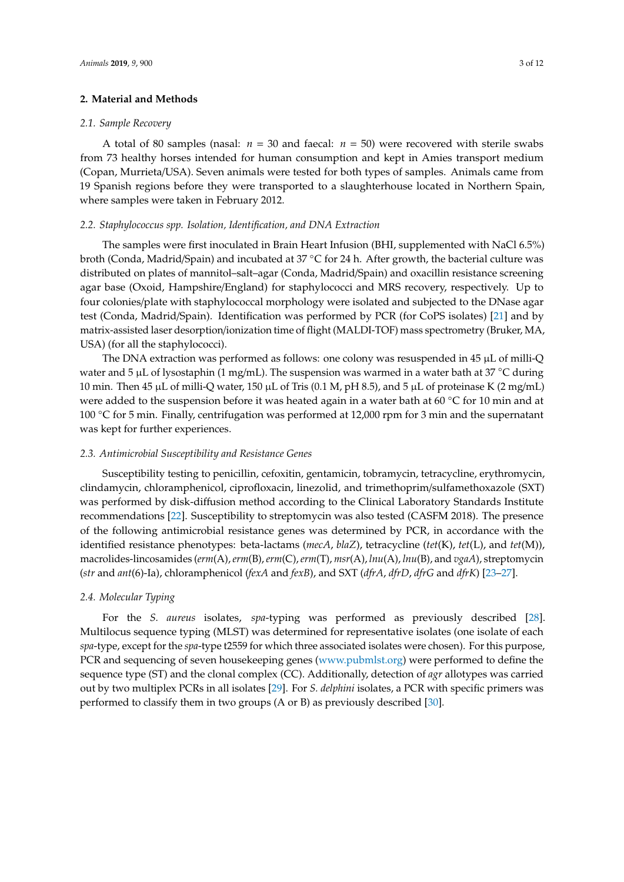# **2. Material and Methods**

### *2.1. Sample Recovery*

A total of 80 samples (nasal:  $n = 30$  and faecal:  $n = 50$ ) were recovered with sterile swabs from 73 healthy horses intended for human consumption and kept in Amies transport medium (Copan, Murrieta/USA). Seven animals were tested for both types of samples. Animals came from 19 Spanish regions before they were transported to a slaughterhouse located in Northern Spain, where samples were taken in February 2012.

# *2.2. Staphylococcus spp. Isolation, Identification, and DNA Extraction*

The samples were first inoculated in Brain Heart Infusion (BHI, supplemented with NaCl 6.5%) broth (Conda, Madrid/Spain) and incubated at 37 ◦C for 24 h. After growth, the bacterial culture was distributed on plates of mannitol–salt–agar (Conda, Madrid/Spain) and oxacillin resistance screening agar base (Oxoid, Hampshire/England) for staphylococci and MRS recovery, respectively. Up to four colonies/plate with staphylococcal morphology were isolated and subjected to the DNase agar test (Conda, Madrid/Spain). Identification was performed by PCR (for CoPS isolates) [\[21\]](#page-10-10) and by matrix-assisted laser desorption/ionization time of flight (MALDI-TOF) mass spectrometry (Bruker, MA, USA) (for all the staphylococci).

The DNA extraction was performed as follows: one colony was resuspended in  $45 \mu L$  of milli-Q water and 5 µL of lysostaphin (1 mg/mL). The suspension was warmed in a water bath at 37 °C during 10 min. Then 45 µL of milli-Q water, 150 µL of Tris (0.1 M, pH 8.5), and 5 µL of proteinase K (2 mg/mL) were added to the suspension before it was heated again in a water bath at 60 ℃ for 10 min and at 100 ◦C for 5 min. Finally, centrifugation was performed at 12,000 rpm for 3 min and the supernatant was kept for further experiences.

# *2.3. Antimicrobial Susceptibility and Resistance Genes*

Susceptibility testing to penicillin, cefoxitin, gentamicin, tobramycin, tetracycline, erythromycin, clindamycin, chloramphenicol, ciprofloxacin, linezolid, and trimethoprim/sulfamethoxazole (SXT) was performed by disk-diffusion method according to the Clinical Laboratory Standards Institute recommendations [\[22\]](#page-10-11). Susceptibility to streptomycin was also tested (CASFM 2018). The presence of the following antimicrobial resistance genes was determined by PCR, in accordance with the identified resistance phenotypes: beta-lactams (*mecA*, *blaZ*), tetracycline (*tet*(K), *tet*(L), and *tet*(M)), macrolides-lincosamides (*erm*(A),*erm*(B),*erm*(C),*erm*(T), *msr*(A), *lnu*(A), *lnu*(B), and *vgaA*), streptomycin (*str* and *ant*(6)-Ia), chloramphenicol (*fexA* and *fexB*), and SXT (*dfrA*, *dfrD*, *dfrG* and *dfrK*) [\[23–](#page-10-12)[27\]](#page-11-0).

#### *2.4. Molecular Typing*

For the *S. aureus* isolates, *spa*-typing was performed as previously described [\[28\]](#page-11-1). Multilocus sequence typing (MLST) was determined for representative isolates (one isolate of each *spa*-type, except for the *spa*-type t2559 for which three associated isolates were chosen). For this purpose, PCR and sequencing of seven housekeeping genes [\(www.pubmlst.org\)](www.pubmlst.org) were performed to define the sequence type (ST) and the clonal complex (CC). Additionally, detection of *agr* allotypes was carried out by two multiplex PCRs in all isolates [\[29\]](#page-11-2). For *S. delphini* isolates, a PCR with specific primers was performed to classify them in two groups (A or B) as previously described [\[30\]](#page-11-3).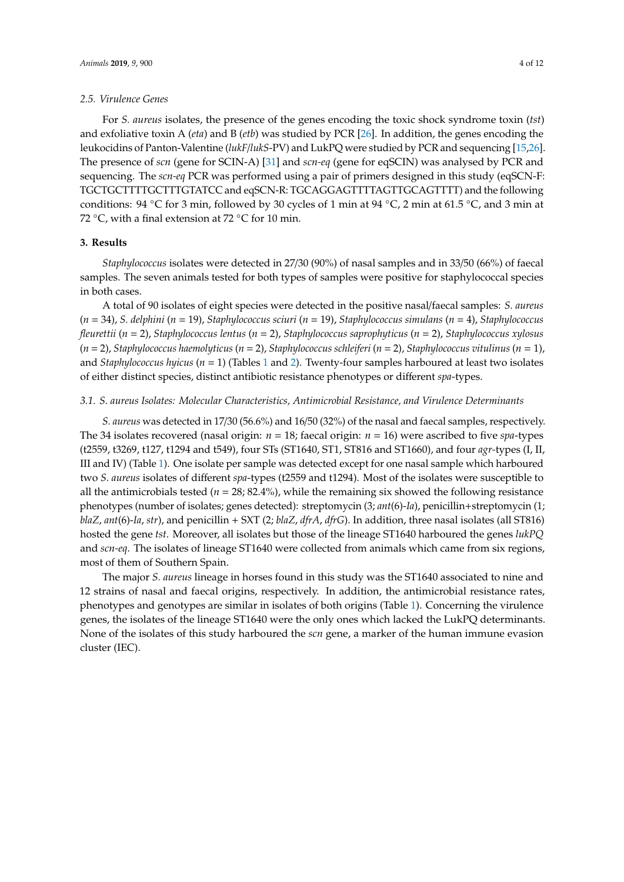#### *2.5. Virulence Genes*

For *S. aureus* isolates, the presence of the genes encoding the toxic shock syndrome toxin (*tst*) and exfoliative toxin A (*eta*) and B (*etb*) was studied by PCR [\[26\]](#page-10-13). In addition, the genes encoding the leukocidins of Panton-Valentine (*lukF*/*lukS*-PV) and LukPQ were studied by PCR and sequencing [\[15](#page-10-5)[,26\]](#page-10-13). The presence of *scn* (gene for SCIN-A) [\[31\]](#page-11-4) and *scn-eq* (gene for eqSCIN) was analysed by PCR and sequencing. The *scn-eq* PCR was performed using a pair of primers designed in this study (eqSCN-F: TGCTGCTTTTGCTTTGTATCC and eqSCN-R: TGCAGGAGTTTTAGTTGCAGTTTT) and the following conditions: 94 °C for 3 min, followed by 30 cycles of 1 min at 94 °C, 2 min at 61.5 °C, and 3 min at 72 °C, with a final extension at 72 °C for 10 min.

#### **3. Results**

*Staphylococcus* isolates were detected in 27/30 (90%) of nasal samples and in 33/50 (66%) of faecal samples. The seven animals tested for both types of samples were positive for staphylococcal species in both cases.

A total of 90 isolates of eight species were detected in the positive nasal/faecal samples: *S. aureus* (*n* = 34), *S. delphini* (*n* = 19), *Staphylococcus sciuri* (*n* = 19), *Staphylococcus simulans* (*n* = 4), *Staphylococcus fleurettii* (*n* = 2), *Staphylococcus lentus* (*n* = 2), *Staphylococcus saprophyticus* (*n* = 2), *Staphylococcus xylosus* (*n* = 2), *Staphylococcus haemolyticus* (*n* = 2), *Staphylococcus schleiferi* (*n* = 2), *Staphylococcus vitulinus* (*n* = 1), and *Staphylococcus hyicus* (*n* = 1) (Tables [1](#page-5-0) and [2\)](#page-6-0). Twenty-four samples harboured at least two isolates of either distinct species, distinct antibiotic resistance phenotypes or different *spa*-types.

#### *3.1. S. aureus Isolates: Molecular Characteristics, Antimicrobial Resistance, and Virulence Determinants*

*S. aureus* was detected in 17/30 (56.6%) and 16/50 (32%) of the nasal and faecal samples, respectively. The 34 isolates recovered (nasal origin: *n* = 18; faecal origin: *n* = 16) were ascribed to five *spa*-types (t2559, t3269, t127, t1294 and t549), four STs (ST1640, ST1, ST816 and ST1660), and four *agr-*types (I, II, III and IV) (Table [1\)](#page-5-0). One isolate per sample was detected except for one nasal sample which harboured two *S. aureus* isolates of different *spa*-types (t2559 and t1294). Most of the isolates were susceptible to all the antimicrobials tested ( $n = 28$ ; 82.4%), while the remaining six showed the following resistance phenotypes (number of isolates; genes detected): streptomycin (3; *ant*(6)-*Ia*), penicillin+streptomycin (1; *blaZ*, *ant*(6)-*Ia*, *str*), and penicillin + SXT (2; *blaZ*, *dfrA*, *dfrG*). In addition, three nasal isolates (all ST816) hosted the gene *tst*. Moreover, all isolates but those of the lineage ST1640 harboured the genes *lukPQ* and *scn-eq*. The isolates of lineage ST1640 were collected from animals which came from six regions, most of them of Southern Spain.

The major *S. aureus* lineage in horses found in this study was the ST1640 associated to nine and 12 strains of nasal and faecal origins, respectively. In addition, the antimicrobial resistance rates, phenotypes and genotypes are similar in isolates of both origins (Table [1\)](#page-5-0). Concerning the virulence genes, the isolates of the lineage ST1640 were the only ones which lacked the LukPQ determinants. None of the isolates of this study harboured the *scn* gene, a marker of the human immune evasion cluster (IEC).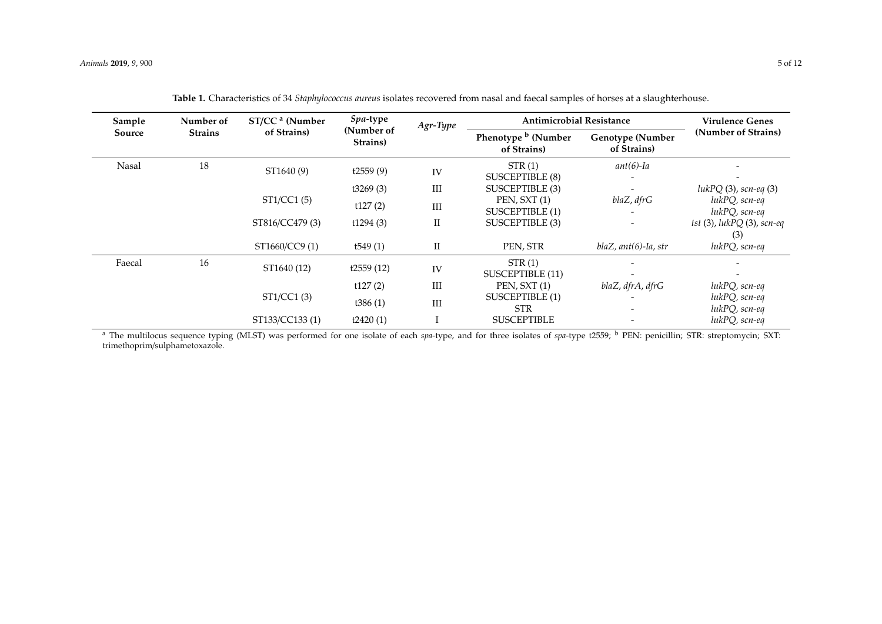| Sample | Number of<br><b>Strains</b> | ST/CC <sup>a</sup> (Number<br>of Strains) | Spa-type<br>(Number of<br>Strains) | Agr-Type  | <b>Antimicrobial Resistance</b>               |                                        | Virulence Genes                          |
|--------|-----------------------------|-------------------------------------------|------------------------------------|-----------|-----------------------------------------------|----------------------------------------|------------------------------------------|
| Source |                             |                                           |                                    |           | Phenotype <sup>b</sup> (Number<br>of Strains) | <b>Genotype (Number</b><br>of Strains) | (Number of Strains)                      |
| Nasal  | 18                          | ST1640 (9)                                | t2559(9)                           | IV        | STR(1)<br><b>SUSCEPTIBLE (8)</b>              | $ant(6)$ -Ia                           |                                          |
|        |                             |                                           | t3269(3)                           | Ш         | SUSCEPTIBLE (3)                               |                                        | $lukPQ(3)$ , scn-eq $(3)$                |
|        |                             | ST1/CC1(5)                                | t127(2)                            | Ш         | PEN, SXT (1)<br>SUSCEPTIBLE (1)               | blaZ, dfrG                             | lukPQ, scn-eq<br>lukPQ, scn-eq           |
|        |                             | ST816/CC479 (3)                           | t1294(3)                           | П         | SUSCEPTIBLE (3)                               |                                        | $tst$ (3), $lukPQ$ (3), $scn$ -eq<br>(3) |
|        |                             | ST1660/CC9 (1)                            | t549 $(1)$                         | $\rm{II}$ | PEN, STR                                      | $blaZ, ant(6)-Ia, str$                 | lukPQ, scn-eq                            |
| Faecal | 16                          | ST1640 (12)                               | t2559(12)                          | IV        | STR(1)<br>SUSCEPTIBLE (11)                    |                                        |                                          |
|        |                             |                                           | t127(2)                            | Ш         | PEN, SXT (1)                                  | blaZ, dfrA, dfrG                       | lukPQ, scn-eq                            |
|        |                             | ST1/CC1 (3)                               | t386 $(1)$                         | Ш         | SUSCEPTIBLE (1)<br><b>STR</b>                 |                                        | lukPQ, scn-eq<br>lukPQ, scn-eq           |
|        |                             | ST133/CC133 (1)                           | t2420(1)                           |           | <b>SUSCEPTIBLE</b>                            |                                        | lukPQ, scn-eq                            |

| Table 1. Characteristics of 34 Staphylococcus aureus isolates recovered from nasal and faecal samples of horses at a slaughterhouse. |  |  |
|--------------------------------------------------------------------------------------------------------------------------------------|--|--|
|--------------------------------------------------------------------------------------------------------------------------------------|--|--|

<span id="page-5-0"></span><sup>a</sup> The multilocus sequence typing (MLST) was performed for one isolate of each *spa*-type, and for three isolates of *spa*-type t2559; <sup>b</sup> PEN: penicillin; STR: streptomycin; SXT: trimethoprim/sulphametoxazole.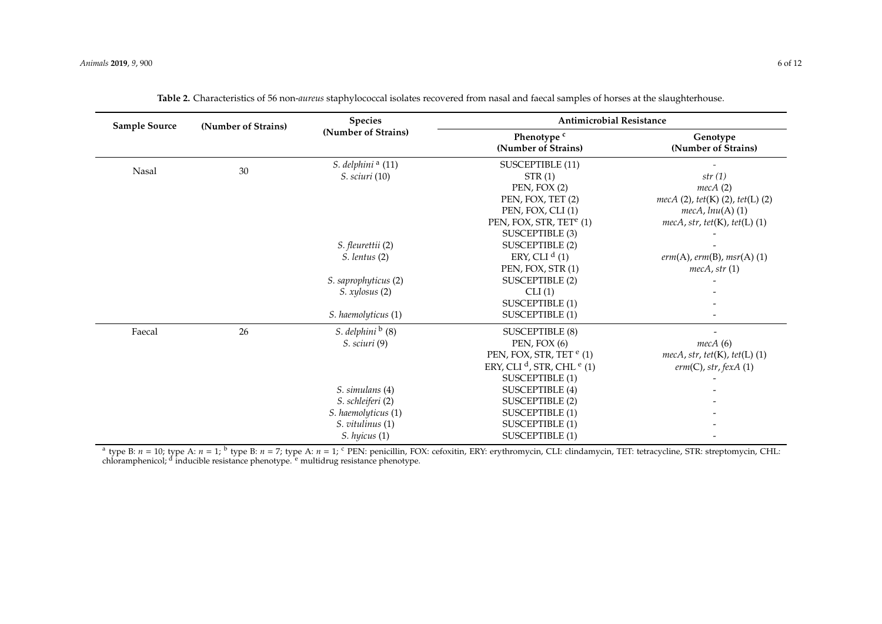| <b>Sample Source</b> | (Number of Strains) | <b>Species</b>                | <b>Antimicrobial Resistance</b>                   |                                           |  |
|----------------------|---------------------|-------------------------------|---------------------------------------------------|-------------------------------------------|--|
|                      |                     | (Number of Strains)           | Phenotype <sup>c</sup><br>(Number of Strains)     | Genotype<br>(Number of Strains)           |  |
|                      |                     | S. delphini <sup>a</sup> (11) | <b>SUSCEPTIBLE (11)</b>                           |                                           |  |
| Nasal                | 30                  | <i>S. sciuri</i> (10)         | STR(1)                                            | str(1)                                    |  |
|                      |                     |                               | PEN, FOX (2)                                      | mecA(2)                                   |  |
|                      |                     |                               | PEN, FOX, TET (2)                                 | $mecA(2)$ , tet(K)(2), tet(L)(2)          |  |
|                      |                     |                               | PEN, FOX, CLI(1)                                  | $mecA, lnu(A)$ (1)                        |  |
|                      |                     |                               | PEN, FOX, STR, TET <sup>e</sup> (1)               | $mecA, str, tet(K), tet(L)$ (1)           |  |
|                      |                     |                               | SUSCEPTIBLE (3)                                   |                                           |  |
|                      |                     | S. fleurettii (2)             | <b>SUSCEPTIBLE (2)</b>                            |                                           |  |
|                      |                     | S. lentus (2)                 | ERY, CLI $d(1)$                                   | $erm(A),erm(B), msr(A)$ (1)               |  |
|                      |                     |                               | PEN, FOX, STR (1)                                 | mecA, str(1)                              |  |
|                      |                     | S. saprophyticus (2)          | <b>SUSCEPTIBLE (2)</b>                            |                                           |  |
|                      |                     | S. xylosus (2)                | CLI(1)                                            |                                           |  |
|                      |                     |                               | <b>SUSCEPTIBLE (1)</b>                            |                                           |  |
|                      |                     | S. haemolyticus (1)           | <b>SUSCEPTIBLE (1)</b>                            |                                           |  |
| Faecal               | 26                  | S. delphini $\frac{b}{c}$ (8) | <b>SUSCEPTIBLE (8)</b>                            |                                           |  |
|                      |                     | S. sciuri (9)                 | $PEN$ , FOX $(6)$                                 | mecA(6)                                   |  |
|                      |                     |                               | PEN, FOX, STR, TET <sup>e</sup> (1)               | $mecA$ , str, tet $(K)$ , tet $(L)$ $(1)$ |  |
|                      |                     |                               | ERY, CLI <sup>d</sup> , STR, CHL <sup>e</sup> (1) | $erm(C)$ , str, fexA (1)                  |  |
|                      |                     |                               | <b>SUSCEPTIBLE (1)</b>                            |                                           |  |
|                      |                     | S. simulans (4)               | <b>SUSCEPTIBLE (4)</b>                            |                                           |  |
|                      |                     | S. schleiferi (2)             | <b>SUSCEPTIBLE (2)</b>                            |                                           |  |
|                      |                     | S. haemolyticus (1)           | <b>SUSCEPTIBLE (1)</b>                            |                                           |  |
|                      |                     | S. vitulinus (1)              | <b>SUSCEPTIBLE (1)</b>                            |                                           |  |
|                      |                     | S. hyicus (1)                 | <b>SUSCEPTIBLE (1)</b>                            |                                           |  |

|  |  |  |  |  | Table 2. Characteristics of 56 non- <i>aureus</i> staphylococcal isolates recovered from nasal and faecal samples of horses at the slaughterhouse. |
|--|--|--|--|--|----------------------------------------------------------------------------------------------------------------------------------------------------|
|--|--|--|--|--|----------------------------------------------------------------------------------------------------------------------------------------------------|

<span id="page-6-0"></span><sup>a</sup> type B: *n* = 10; type A: *n* = 1; <sup>b</sup> type B: *n* = 7; type A: *n* = 1; <sup>c</sup> PEN: penicillin, FOX: cefoxitin, ERY: erythromycin, CLI: clindamycin, TET: tetracycline, STR: streptomycin, CHL: chloramphenicol; <sup>d</sup> inducible resistance phenotype. <sup>e</sup> multidrug resistance phenotype.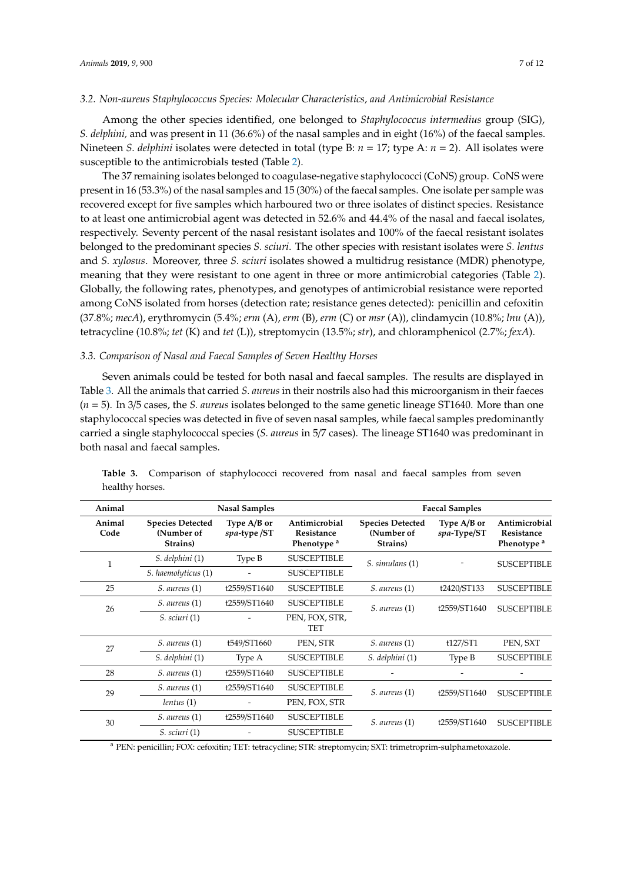#### *3.2. Non-aureus Staphylococcus Species: Molecular Characteristics, and Antimicrobial Resistance*

Among the other species identified, one belonged to *Staphylococcus intermedius* group (SIG), *S. delphini,* and was present in 11 (36.6%) of the nasal samples and in eight (16%) of the faecal samples. Nineteen *S. delphini* isolates were detected in total (type B: *n* = 17; type A: *n* = 2). All isolates were susceptible to the antimicrobials tested (Table [2\)](#page-6-0).

The 37 remaining isolates belonged to coagulase-negative staphylococci (CoNS) group. CoNS were present in 16 (53.3%) of the nasal samples and 15 (30%) of the faecal samples. One isolate per sample was recovered except for five samples which harboured two or three isolates of distinct species. Resistance to at least one antimicrobial agent was detected in 52.6% and 44.4% of the nasal and faecal isolates, respectively. Seventy percent of the nasal resistant isolates and 100% of the faecal resistant isolates belonged to the predominant species *S. sciuri*. The other species with resistant isolates were *S. lentus* and *S. xylosus*. Moreover, three *S. sciuri* isolates showed a multidrug resistance (MDR) phenotype, meaning that they were resistant to one agent in three or more antimicrobial categories (Table [2\)](#page-6-0). Globally, the following rates, phenotypes, and genotypes of antimicrobial resistance were reported among CoNS isolated from horses (detection rate; resistance genes detected): penicillin and cefoxitin (37.8%; *mecA*), erythromycin (5.4%; *erm* (A), *erm* (B), *erm* (C) or *msr* (A)), clindamycin (10.8%; *lnu* (A)), tetracycline (10.8%; *tet* (K) and *tet* (L)), streptomycin (13.5%; *str*), and chloramphenicol (2.7%; *fexA*).

#### *3.3. Comparison of Nasal and Faecal Samples of Seven Healthy Horses*

Seven animals could be tested for both nasal and faecal samples. The results are displayed in Table [3.](#page-7-0) All the animals that carried *S. aureus* in their nostrils also had this microorganism in their faeces (*n* = 5). In 3/5 cases, the *S. aureus* isolates belonged to the same genetic lineage ST1640. More than one staphylococcal species was detected in five of seven nasal samples, while faecal samples predominantly carried a single staphylococcal species (*S. aureus* in 5/7 cases). The lineage ST1640 was predominant in both nasal and faecal samples.

| Animal         |                                                   | <b>Nasal Samples</b>        |                                                       | <b>Faecal Samples</b>                             |                            |                                                       |
|----------------|---------------------------------------------------|-----------------------------|-------------------------------------------------------|---------------------------------------------------|----------------------------|-------------------------------------------------------|
| Animal<br>Code | <b>Species Detected</b><br>(Number of<br>Strains) | Type A/B or<br>spa-type /ST | Antimicrobial<br>Resistance<br>Phenotype <sup>a</sup> | <b>Species Detected</b><br>(Number of<br>Strains) | Type A/B or<br>spa-Type/ST | Antimicrobial<br>Resistance<br>Phenotype <sup>a</sup> |
| $\mathbf{1}$   | S. delphini (1)                                   | Type B                      | <b>SUSCEPTIBLE</b>                                    | S. simulans (1)                                   |                            | <b>SUSCEPTIBLE</b>                                    |
|                | S. haemolyticus (1)                               |                             | <b>SUSCEPTIBLE</b>                                    |                                                   |                            |                                                       |
| 25             | S. aureus (1)                                     | t2559/ST1640                | <b>SUSCEPTIBLE</b>                                    | S. aureus (1)                                     | t2420/ST133                | <b>SUSCEPTIBLE</b>                                    |
| 26             | $S.$ aureus $(1)$                                 | t2559/ST1640                | <b>SUSCEPTIBLE</b>                                    | $S.$ aureus $(1)$                                 | t2559/ST1640               | <b>SUSCEPTIBLE</b>                                    |
|                | S. sciuri(1)                                      |                             | PEN, FOX, STR,<br>TET                                 |                                                   |                            |                                                       |
| 27             | S. aureus (1)                                     | t549/ST1660                 | PEN, STR                                              | S. aureus (1)                                     | t127/ST1                   | PEN, SXT                                              |
|                | S. delphini (1)                                   | Type A                      | <b>SUSCEPTIBLE</b>                                    | S. delphini (1)                                   | Type B                     | <b>SUSCEPTIBLE</b>                                    |
| 28             | S. aureus (1)                                     | t2559/ST1640                | <b>SUSCEPTIBLE</b>                                    |                                                   |                            |                                                       |
| 29             | $S.$ aureus $(1)$                                 | t2559/ST1640                | <b>SUSCEPTIBLE</b>                                    | S. aureus (1)                                     | t2559/ST1640               | <b>SUSCEPTIBLE</b>                                    |
|                | lentus(1)                                         |                             | PEN, FOX, STR                                         |                                                   |                            |                                                       |
| 30             | $S.$ aureus $(1)$                                 | t2559/ST1640                | <b>SUSCEPTIBLE</b>                                    | S. aureus (1)                                     | t2559/ST1640               | <b>SUSCEPTIBLE</b>                                    |
|                | S. sciuri(1)                                      |                             | <b>SUSCEPTIBLE</b>                                    |                                                   |                            |                                                       |

<span id="page-7-0"></span>Table 3. Comparison of staphylococci recovered from nasal and faecal samples from seven healthy horses.

<sup>a</sup> PEN: penicillin; FOX: cefoxitin; TET: tetracycline; STR: streptomycin; SXT: trimetroprim-sulphametoxazole.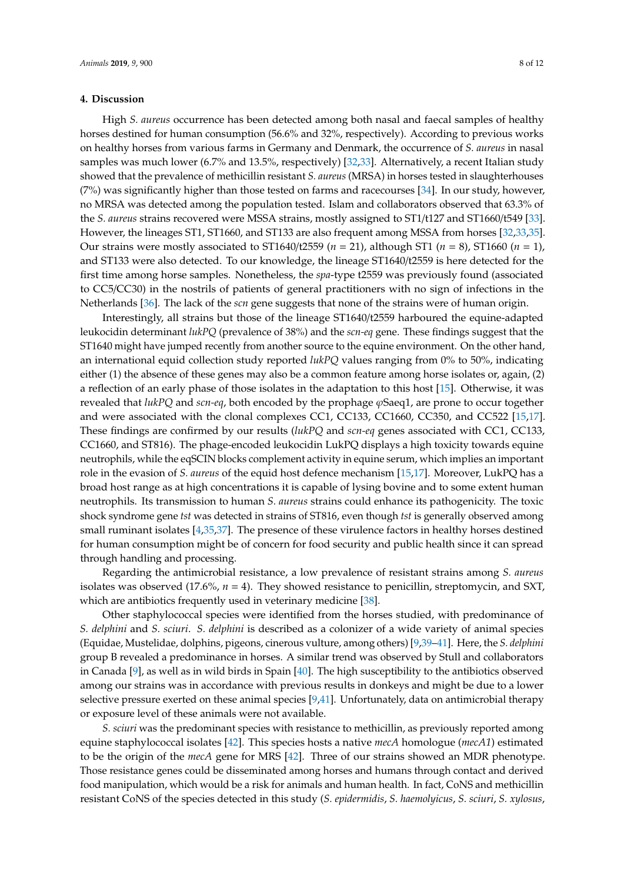# **4. Discussion**

High *S. aureus* occurrence has been detected among both nasal and faecal samples of healthy horses destined for human consumption (56.6% and 32%, respectively). According to previous works on healthy horses from various farms in Germany and Denmark, the occurrence of *S. aureus* in nasal samples was much lower (6.7% and 13.5%, respectively) [\[32,](#page-11-5)[33\]](#page-11-6). Alternatively, a recent Italian study showed that the prevalence of methicillin resistant *S. aureus* (MRSA) in horses tested in slaughterhouses (7%) was significantly higher than those tested on farms and racecourses [\[34\]](#page-11-7). In our study, however, no MRSA was detected among the population tested. Islam and collaborators observed that 63.3% of the *S. aureus* strains recovered were MSSA strains, mostly assigned to ST1/t127 and ST1660/t549 [\[33\]](#page-11-6). However, the lineages ST1, ST1660, and ST133 are also frequent among MSSA from horses [\[32,](#page-11-5)[33,](#page-11-6)[35\]](#page-11-8). Our strains were mostly associated to ST1640/t2559 (*n* = 21), although ST1 (*n* = 8), ST1660 (*n* = 1), and ST133 were also detected. To our knowledge, the lineage ST1640/t2559 is here detected for the first time among horse samples. Nonetheless, the *spa*-type t2559 was previously found (associated to CC5/CC30) in the nostrils of patients of general practitioners with no sign of infections in the Netherlands [\[36\]](#page-11-9). The lack of the *scn* gene suggests that none of the strains were of human origin.

Interestingly, all strains but those of the lineage ST1640/t2559 harboured the equine-adapted leukocidin determinant *lukPQ* (prevalence of 38%) and the *scn-eq* gene. These findings suggest that the ST1640 might have jumped recently from another source to the equine environment. On the other hand, an international equid collection study reported *lukPQ* values ranging from 0% to 50%, indicating either (1) the absence of these genes may also be a common feature among horse isolates or, again, (2) a reflection of an early phase of those isolates in the adaptation to this host [\[15\]](#page-10-5). Otherwise, it was revealed that *lukPQ* and *scn-eq*, both encoded by the prophage ϕSaeq1, are prone to occur together and were associated with the clonal complexes CC1, CC133, CC1660, CC350, and CC522 [\[15,](#page-10-5)[17\]](#page-10-7). These findings are confirmed by our results (*lukPQ* and *scn-eq* genes associated with CC1, CC133, CC1660, and ST816). The phage-encoded leukocidin LukPQ displays a high toxicity towards equine neutrophils, while the eqSCIN blocks complement activity in equine serum, which implies an important role in the evasion of *S. aureus* of the equid host defence mechanism [\[15](#page-10-5)[,17\]](#page-10-7). Moreover, LukPQ has a broad host range as at high concentrations it is capable of lysing bovine and to some extent human neutrophils. Its transmission to human *S. aureus* strains could enhance its pathogenicity. The toxic shock syndrome gene *tst* was detected in strains of ST816, even though *tst* is generally observed among small ruminant isolates [\[4](#page-9-4)[,35](#page-11-8)[,37\]](#page-11-10). The presence of these virulence factors in healthy horses destined for human consumption might be of concern for food security and public health since it can spread through handling and processing.

Regarding the antimicrobial resistance, a low prevalence of resistant strains among *S. aureus* isolates was observed (17.6%, *n* = 4). They showed resistance to penicillin, streptomycin, and SXT, which are antibiotics frequently used in veterinary medicine [\[38\]](#page-11-11).

Other staphylococcal species were identified from the horses studied, with predominance of *S. delphini* and *S. sciuri*. *S. delphini* is described as a colonizer of a wide variety of animal species (Equidae, Mustelidae, dolphins, pigeons, cinerous vulture, among others) [\[9](#page-10-14)[,39](#page-11-12)[–41\]](#page-11-13). Here, the *S. delphini* group B revealed a predominance in horses. A similar trend was observed by Stull and collaborators in Canada [\[9\]](#page-10-14), as well as in wild birds in Spain [\[40\]](#page-11-14). The high susceptibility to the antibiotics observed among our strains was in accordance with previous results in donkeys and might be due to a lower selective pressure exerted on these animal species [\[9,](#page-10-14)[41\]](#page-11-13). Unfortunately, data on antimicrobial therapy or exposure level of these animals were not available.

*S. sciuri* was the predominant species with resistance to methicillin, as previously reported among equine staphylococcal isolates [\[42\]](#page-11-15). This species hosts a native *mecA* homologue (*mecA1*) estimated to be the origin of the *mecA* gene for MRS [\[42\]](#page-11-15). Three of our strains showed an MDR phenotype. Those resistance genes could be disseminated among horses and humans through contact and derived food manipulation, which would be a risk for animals and human health. In fact, CoNS and methicillin resistant CoNS of the species detected in this study (*S. epidermidis*, *S. haemolyicus*, *S. sciuri*, *S. xylosus*,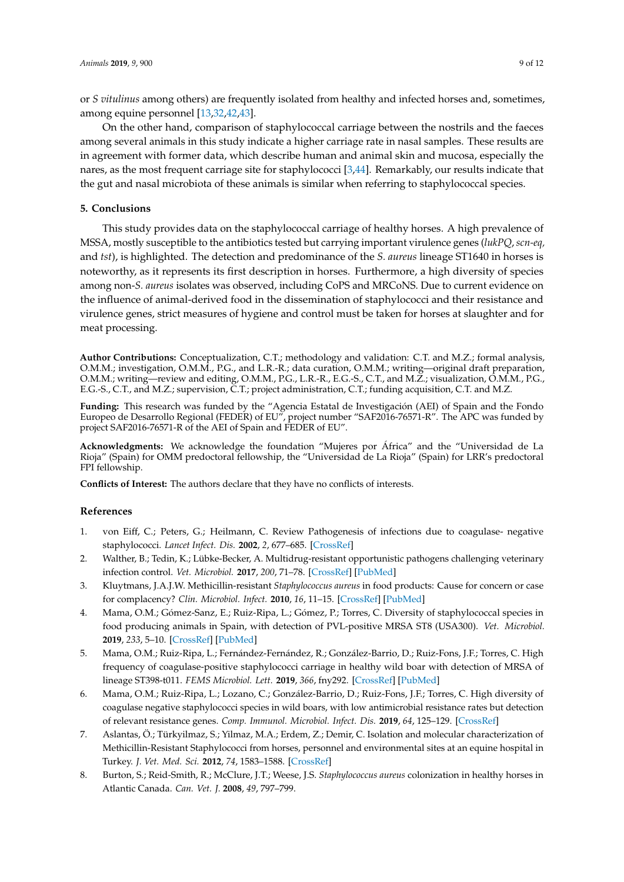or *S vitulinus* among others) are frequently isolated from healthy and infected horses and, sometimes, among equine personnel [\[13](#page-10-2)[,32,](#page-11-5)[42,](#page-11-15)[43\]](#page-12-0).

On the other hand, comparison of staphylococcal carriage between the nostrils and the faeces among several animals in this study indicate a higher carriage rate in nasal samples. These results are in agreement with former data, which describe human and animal skin and mucosa, especially the nares, as the most frequent carriage site for staphylococci [\[3](#page-9-5)[,44\]](#page-12-1). Remarkably, our results indicate that the gut and nasal microbiota of these animals is similar when referring to staphylococcal species.

# **5. Conclusions**

This study provides data on the staphylococcal carriage of healthy horses. A high prevalence of MSSA, mostly susceptible to the antibiotics tested but carrying important virulence genes (*lukPQ*, *scn-eq,* and *tst*), is highlighted. The detection and predominance of the *S. aureus* lineage ST1640 in horses is noteworthy, as it represents its first description in horses. Furthermore, a high diversity of species among non-*S. aureus* isolates was observed, including CoPS and MRCoNS. Due to current evidence on the influence of animal-derived food in the dissemination of staphylococci and their resistance and virulence genes, strict measures of hygiene and control must be taken for horses at slaughter and for meat processing.

**Author Contributions:** Conceptualization, C.T.; methodology and validation: C.T. and M.Z.; formal analysis, O.M.M.; investigation, O.M.M., P.G., and L.R.-R.; data curation, O.M.M.; writing—original draft preparation, O.M.M.; writing—review and editing, O.M.M., P.G., L.R.-R., E.G.-S., C.T., and M.Z.; visualization, O.M.M., P.G., E.G.-S., C.T., and M.Z.; supervision, C.T.; project administration, C.T.; funding acquisition, C.T. and M.Z.

**Funding:** This research was funded by the "Agencia Estatal de Investigación (AEI) of Spain and the Fondo Europeo de Desarrollo Regional (FEDER) of EU", project number "SAF2016-76571-R". The APC was funded by project SAF2016-76571-R of the AEI of Spain and FEDER of EU".

**Acknowledgments:** We acknowledge the foundation "Mujeres por África" and the "Universidad de La Rioja" (Spain) for OMM predoctoral fellowship, the "Universidad de La Rioja" (Spain) for LRR's predoctoral FPI fellowship.

**Conflicts of Interest:** The authors declare that they have no conflicts of interests.

# **References**

- <span id="page-9-0"></span>1. von Eiff, C.; Peters, G.; Heilmann, C. Review Pathogenesis of infections due to coagulase- negative staphylococci. *Lancet Infect. Dis.* **2002**, *2*, 677–685. [\[CrossRef\]](http://dx.doi.org/10.1016/S1473-3099(02)00438-3)
- 2. Walther, B.; Tedin, K.; Lübke-Becker, A. Multidrug-resistant opportunistic pathogens challenging veterinary infection control. *Vet. Microbiol.* **2017**, *200*, 71–78. [\[CrossRef\]](http://dx.doi.org/10.1016/j.vetmic.2016.05.017) [\[PubMed\]](http://www.ncbi.nlm.nih.gov/pubmed/27291944)
- <span id="page-9-5"></span>3. Kluytmans, J.A.J.W. Methicillin-resistant *Staphylococcus aureus* in food products: Cause for concern or case for complacency? *Clin. Microbiol. Infect.* **2010**, *16*, 11–15. [\[CrossRef\]](http://dx.doi.org/10.1111/j.1469-0691.2009.03110.x) [\[PubMed\]](http://www.ncbi.nlm.nih.gov/pubmed/20002686)
- <span id="page-9-4"></span>4. Mama, O.M.; Gómez-Sanz, E.; Ruiz-Ripa, L.; Gómez, P.; Torres, C. Diversity of staphylococcal species in food producing animals in Spain, with detection of PVL-positive MRSA ST8 (USA300). *Vet. Microbiol.* **2019**, *233*, 5–10. [\[CrossRef\]](http://dx.doi.org/10.1016/j.vetmic.2019.04.013) [\[PubMed\]](http://www.ncbi.nlm.nih.gov/pubmed/31176412)
- 5. Mama, O.M.; Ruiz-Ripa, L.; Fernández-Fernández, R.; González-Barrio, D.; Ruiz-Fons, J.F.; Torres, C. High frequency of coagulase-positive staphylococci carriage in healthy wild boar with detection of MRSA of lineage ST398-t011. *FEMS Microbiol. Lett.* **2019**, *366*, fny292. [\[CrossRef\]](http://dx.doi.org/10.1093/femsle/fny292) [\[PubMed\]](http://www.ncbi.nlm.nih.gov/pubmed/30689826)
- <span id="page-9-1"></span>6. Mama, O.M.; Ruiz-Ripa, L.; Lozano, C.; González-Barrio, D.; Ruiz-Fons, J.F.; Torres, C. High diversity of coagulase negative staphylococci species in wild boars, with low antimicrobial resistance rates but detection of relevant resistance genes. *Comp. Immunol. Microbiol. Infect. Dis.* **2019**, *64*, 125–129. [\[CrossRef\]](http://dx.doi.org/10.1016/j.cimid.2019.03.006)
- <span id="page-9-2"></span>7. Aslantas, Ö.; Türkyilmaz, S.; Yilmaz, M.A.; Erdem, Z.; Demir, C. Isolation and molecular characterization of Methicillin-Resistant Staphylococci from horses, personnel and environmental sites at an equine hospital in Turkey. *J. Vet. Med. Sci.* **2012**, *74*, 1583–1588. [\[CrossRef\]](http://dx.doi.org/10.1292/jvms.12-0124)
- <span id="page-9-3"></span>8. Burton, S.; Reid-Smith, R.; McClure, J.T.; Weese, J.S. *Staphylococcus aureus* colonization in healthy horses in Atlantic Canada. *Can. Vet. J.* **2008**, *49*, 797–799.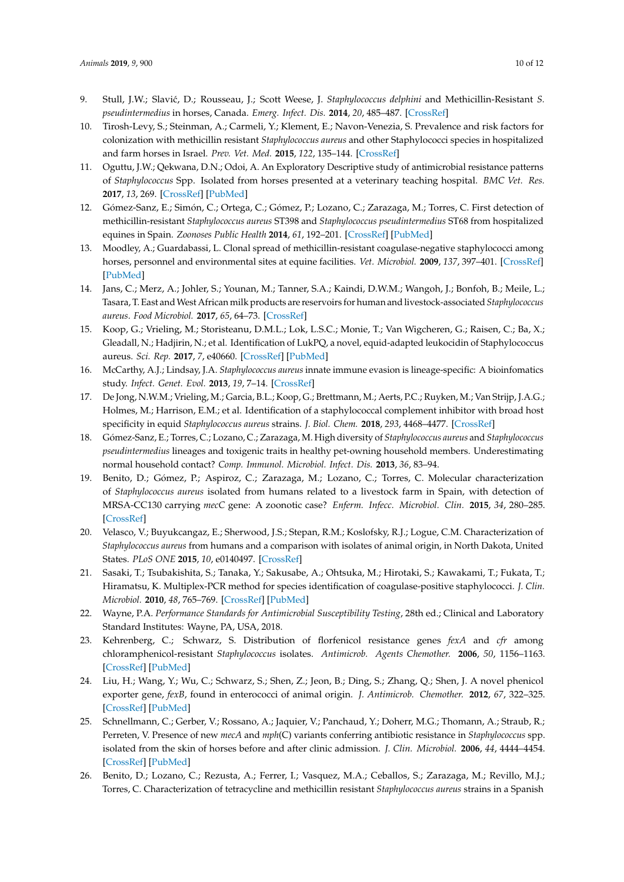- <span id="page-10-14"></span>9. Stull, J.W.; Slavi´c, D.; Rousseau, J.; Scott Weese, J. *Staphylococcus delphini* and Methicillin-Resistant *S. pseudintermedius* in horses, Canada. *Emerg. Infect. Dis.* **2014**, *20*, 485–487. [\[CrossRef\]](http://dx.doi.org/10.3201/eid2003.130139)
- <span id="page-10-0"></span>10. Tirosh-Levy, S.; Steinman, A.; Carmeli, Y.; Klement, E.; Navon-Venezia, S. Prevalence and risk factors for colonization with methicillin resistant *Staphylococcus aureus* and other Staphylococci species in hospitalized and farm horses in Israel. *Prev. Vet. Med.* **2015**, *122*, 135–144. [\[CrossRef\]](http://dx.doi.org/10.1016/j.prevetmed.2015.09.007)
- <span id="page-10-3"></span>11. Oguttu, J.W.; Qekwana, D.N.; Odoi, A. An Exploratory Descriptive study of antimicrobial resistance patterns of *Staphylococcus* Spp. Isolated from horses presented at a veterinary teaching hospital. *BMC Vet. Res.* **2017**, *13*, 269. [\[CrossRef\]](http://dx.doi.org/10.1186/s12917-017-1196-z) [\[PubMed\]](http://www.ncbi.nlm.nih.gov/pubmed/28830437)
- <span id="page-10-1"></span>12. Gómez-Sanz, E.; Simón, C.; Ortega, C.; Gómez, P.; Lozano, C.; Zarazaga, M.; Torres, C. First detection of methicillin-resistant *Staphylococcus aureus* ST398 and *Staphylococcus pseudintermedius* ST68 from hospitalized equines in Spain. *Zoonoses Public Health* **2014**, *61*, 192–201. [\[CrossRef\]](http://dx.doi.org/10.1111/zph.12059) [\[PubMed\]](http://www.ncbi.nlm.nih.gov/pubmed/23773775)
- <span id="page-10-2"></span>13. Moodley, A.; Guardabassi, L. Clonal spread of methicillin-resistant coagulase-negative staphylococci among horses, personnel and environmental sites at equine facilities. *Vet. Microbiol.* **2009**, *137*, 397–401. [\[CrossRef\]](http://dx.doi.org/10.1016/j.vetmic.2009.01.034) [\[PubMed\]](http://www.ncbi.nlm.nih.gov/pubmed/19251386)
- <span id="page-10-4"></span>14. Jans, C.; Merz, A.; Johler, S.; Younan, M.; Tanner, S.A.; Kaindi, D.W.M.; Wangoh, J.; Bonfoh, B.; Meile, L.; Tasara, T. East andWest African milk products are reservoirs for human and livestock-associated *Staphylococcus aureus*. *Food Microbiol.* **2017**, *65*, 64–73. [\[CrossRef\]](http://dx.doi.org/10.1016/j.fm.2017.01.017)
- <span id="page-10-5"></span>15. Koop, G.; Vrieling, M.; Storisteanu, D.M.L.; Lok, L.S.C.; Monie, T.; Van Wigcheren, G.; Raisen, C.; Ba, X.; Gleadall, N.; Hadjirin, N.; et al. Identification of LukPQ, a novel, equid-adapted leukocidin of Staphylococcus aureus. *Sci. Rep.* **2017**, *7*, e40660. [\[CrossRef\]](http://dx.doi.org/10.1038/srep40660) [\[PubMed\]](http://www.ncbi.nlm.nih.gov/pubmed/28106142)
- <span id="page-10-6"></span>16. McCarthy, A.J.; Lindsay, J.A. *Staphylococcus aureus* innate immune evasion is lineage-specific: A bioinfomatics study. *Infect. Genet. Evol.* **2013**, *19*, 7–14. [\[CrossRef\]](http://dx.doi.org/10.1016/j.meegid.2013.06.012)
- <span id="page-10-7"></span>17. De Jong, N.W.M.; Vrieling, M.; Garcia, B.L.; Koop, G.; Brettmann, M.; Aerts, P.C.; Ruyken, M.; Van Strijp, J.A.G.; Holmes, M.; Harrison, E.M.; et al. Identification of a staphylococcal complement inhibitor with broad host specificity in equid *Staphylococcus aureus* strains. *J. Biol. Chem.* **2018**, *293*, 4468–4477. [\[CrossRef\]](http://dx.doi.org/10.1074/jbc.RA117.000599)
- <span id="page-10-8"></span>18. Gómez-Sanz, E.; Torres, C.; Lozano, C.; Zarazaga, M. High diversity of *Staphylococcus aureus* and *Staphylococcus pseudintermedius* lineages and toxigenic traits in healthy pet-owning household members. Underestimating normal household contact? *Comp. Immunol. Microbiol. Infect. Dis.* **2013**, *36*, 83–94.
- 19. Benito, D.; Gómez, P.; Aspiroz, C.; Zarazaga, M.; Lozano, C.; Torres, C. Molecular characterization of *Staphylococcus aureus* isolated from humans related to a livestock farm in Spain, with detection of MRSA-CC130 carrying *mecC* gene: A zoonotic case? *Enferm. Infecc. Microbiol. Clin.* **2015**, *34*, 280–285. [\[CrossRef\]](http://dx.doi.org/10.1016/j.eimc.2015.03.008)
- <span id="page-10-9"></span>20. Velasco, V.; Buyukcangaz, E.; Sherwood, J.S.; Stepan, R.M.; Koslofsky, R.J.; Logue, C.M. Characterization of *Staphylococcus aureus* from humans and a comparison with isolates of animal origin, in North Dakota, United States. *PLoS ONE* **2015**, *10*, e0140497. [\[CrossRef\]](http://dx.doi.org/10.1371/journal.pone.0140497)
- <span id="page-10-10"></span>21. Sasaki, T.; Tsubakishita, S.; Tanaka, Y.; Sakusabe, A.; Ohtsuka, M.; Hirotaki, S.; Kawakami, T.; Fukata, T.; Hiramatsu, K. Multiplex-PCR method for species identification of coagulase-positive staphylococci. *J. Clin. Microbiol.* **2010**, *48*, 765–769. [\[CrossRef\]](http://dx.doi.org/10.1128/JCM.01232-09) [\[PubMed\]](http://www.ncbi.nlm.nih.gov/pubmed/20053855)
- <span id="page-10-11"></span>22. Wayne, P.A. *Performance Standards for Antimicrobial Susceptibility Testing*, 28th ed.; Clinical and Laboratory Standard Institutes: Wayne, PA, USA, 2018.
- <span id="page-10-12"></span>23. Kehrenberg, C.; Schwarz, S. Distribution of florfenicol resistance genes *fexA* and *cfr* among chloramphenicol-resistant *Staphylococcus* isolates. *Antimicrob. Agents Chemother.* **2006**, *50*, 1156–1163. [\[CrossRef\]](http://dx.doi.org/10.1128/AAC.50.4.1156-1163.2006) [\[PubMed\]](http://www.ncbi.nlm.nih.gov/pubmed/16569824)
- 24. Liu, H.; Wang, Y.; Wu, C.; Schwarz, S.; Shen, Z.; Jeon, B.; Ding, S.; Zhang, Q.; Shen, J. A novel phenicol exporter gene, *fexB*, found in enterococci of animal origin. *J. Antimicrob. Chemother.* **2012**, *67*, 322–325. [\[CrossRef\]](http://dx.doi.org/10.1093/jac/dkr481) [\[PubMed\]](http://www.ncbi.nlm.nih.gov/pubmed/22096043)
- 25. Schnellmann, C.; Gerber, V.; Rossano, A.; Jaquier, V.; Panchaud, Y.; Doherr, M.G.; Thomann, A.; Straub, R.; Perreten, V. Presence of new *mecA* and *mph*(C) variants conferring antibiotic resistance in *Staphylococcus* spp. isolated from the skin of horses before and after clinic admission. *J. Clin. Microbiol.* **2006**, *44*, 4444–4454. [\[CrossRef\]](http://dx.doi.org/10.1128/JCM.00868-06) [\[PubMed\]](http://www.ncbi.nlm.nih.gov/pubmed/17005735)
- <span id="page-10-13"></span>26. Benito, D.; Lozano, C.; Rezusta, A.; Ferrer, I.; Vasquez, M.A.; Ceballos, S.; Zarazaga, M.; Revillo, M.J.; Torres, C. Characterization of tetracycline and methicillin resistant *Staphylococcus aureus* strains in a Spanish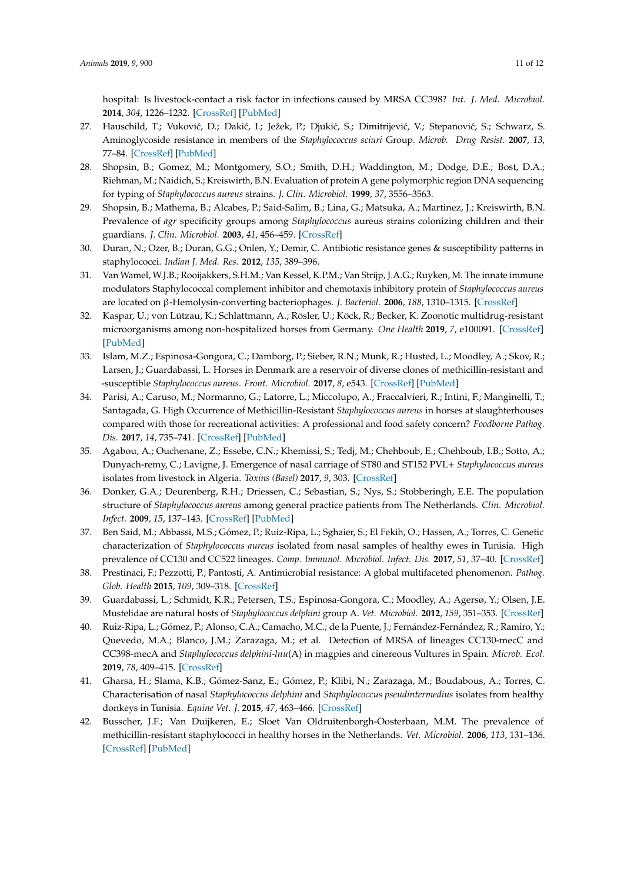hospital: Is livestock-contact a risk factor in infections caused by MRSA CC398? *Int. J. Med. Microbiol.* **2014**, *304*, 1226–1232. [\[CrossRef\]](http://dx.doi.org/10.1016/j.ijmm.2014.09.004) [\[PubMed\]](http://www.ncbi.nlm.nih.gov/pubmed/25444568)

- <span id="page-11-0"></span>27. Hauschild, T.; Vuković, D.; Dakić, I.; Ježek, P.; Djukić, S.; Dimitrijević, V.; Stepanović, S.; Schwarz, S. Aminoglycoside resistance in members of the *Staphylococcus sciuri* Group. *Microb. Drug Resist.* **2007**, *13*, 77–84. [\[CrossRef\]](http://dx.doi.org/10.1089/mdr.2007.713) [\[PubMed\]](http://www.ncbi.nlm.nih.gov/pubmed/17650957)
- <span id="page-11-1"></span>28. Shopsin, B.; Gomez, M.; Montgomery, S.O.; Smith, D.H.; Waddington, M.; Dodge, D.E.; Bost, D.A.; Riehman, M.; Naidich, S.; Kreiswirth, B.N. Evaluation of protein A gene polymorphic region DNA sequencing for typing of *Staphylococcus aureus* strains. *J. Clin. Microbiol.* **1999**, *37*, 3556–3563.
- <span id="page-11-2"></span>29. Shopsin, B.; Mathema, B.; Alcabes, P.; Said-Salim, B.; Lina, G.; Matsuka, A.; Martinez, J.; Kreiswirth, B.N. Prevalence of *agr* specificity groups among *Staphylococcus* aureus strains colonizing children and their guardians. *J. Clin. Microbiol.* **2003**, *41*, 456–459. [\[CrossRef\]](http://dx.doi.org/10.1128/JCM.41.1.456-459.2003)
- <span id="page-11-3"></span>30. Duran, N.; Ozer, B.; Duran, G.G.; Onlen, Y.; Demir, C. Antibiotic resistance genes & susceptibility patterns in staphylococci. *Indian J. Med. Res.* **2012**, *135*, 389–396.
- <span id="page-11-4"></span>31. Van Wamel, W.J.B.; Rooijakkers, S.H.M.; Van Kessel, K.P.M.; Van Strijp, J.A.G.; Ruyken, M. The innate immune modulators Staphylococcal complement inhibitor and chemotaxis inhibitory protein of *Staphylococcus aureus* are located on β-Hemolysin-converting bacteriophages. *J. Bacteriol.* **2006**, *188*, 1310–1315. [\[CrossRef\]](http://dx.doi.org/10.1128/JB.188.4.1310-1315.2006)
- <span id="page-11-5"></span>32. Kaspar, U.; von Lützau, K.; Schlattmann, A.; Rösler, U.; Köck, R.; Becker, K. Zoonotic multidrug-resistant microorganisms among non-hospitalized horses from Germany. *One Health* **2019**, *7*, e100091. [\[CrossRef\]](http://dx.doi.org/10.1016/j.onehlt.2019.100091) [\[PubMed\]](http://www.ncbi.nlm.nih.gov/pubmed/31016221)
- <span id="page-11-6"></span>33. Islam, M.Z.; Espinosa-Gongora, C.; Damborg, P.; Sieber, R.N.; Munk, R.; Husted, L.; Moodley, A.; Skov, R.; Larsen, J.; Guardabassi, L. Horses in Denmark are a reservoir of diverse clones of methicillin-resistant and -susceptible *Staphylococcus aureus*. *Front. Microbiol.* **2017**, *8*, e543. [\[CrossRef\]](http://dx.doi.org/10.3389/fmicb.2017.00543) [\[PubMed\]](http://www.ncbi.nlm.nih.gov/pubmed/28421046)
- <span id="page-11-7"></span>34. Parisi, A.; Caruso, M.; Normanno, G.; Latorre, L.; Miccolupo, A.; Fraccalvieri, R.; Intini, F.; Manginelli, T.; Santagada, G. High Occurrence of Methicillin-Resistant *Staphylococcus aureus* in horses at slaughterhouses compared with those for recreational activities: A professional and food safety concern? *Foodborne Pathog. Dis.* **2017**, *14*, 735–741. [\[CrossRef\]](http://dx.doi.org/10.1089/fpd.2017.2300) [\[PubMed\]](http://www.ncbi.nlm.nih.gov/pubmed/29068722)
- <span id="page-11-8"></span>35. Agabou, A.; Ouchenane, Z.; Essebe, C.N.; Khemissi, S.; Tedj, M.; Chehboub, E.; Chehboub, I.B.; Sotto, A.; Dunyach-remy, C.; Lavigne, J. Emergence of nasal carriage of ST80 and ST152 PVL+ *Staphylococcus aureus* isolates from livestock in Algeria. *Toxins (Basel)* **2017**, *9*, 303. [\[CrossRef\]](http://dx.doi.org/10.3390/toxins9100303)
- <span id="page-11-9"></span>36. Donker, G.A.; Deurenberg, R.H.; Driessen, C.; Sebastian, S.; Nys, S.; Stobberingh, E.E. The population structure of *Staphylococcus aureus* among general practice patients from The Netherlands. *Clin. Microbiol. Infect.* **2009**, *15*, 137–143. [\[CrossRef\]](http://dx.doi.org/10.1111/J.1469-0691.2008.02662.X) [\[PubMed\]](http://www.ncbi.nlm.nih.gov/pubmed/19178545)
- <span id="page-11-10"></span>37. Ben Said, M.; Abbassi, M.S.; Gómez, P.; Ruiz-Ripa, L.; Sghaier, S.; El Fekih, O.; Hassen, A.; Torres, C. Genetic characterization of *Staphylococcus aureus* isolated from nasal samples of healthy ewes in Tunisia. High prevalence of CC130 and CC522 lineages. *Comp. Immunol. Microbiol. Infect. Dis.* **2017**, *51*, 37–40. [\[CrossRef\]](http://dx.doi.org/10.1016/j.cimid.2017.03.002)
- <span id="page-11-11"></span>38. Prestinaci, F.; Pezzotti, P.; Pantosti, A. Antimicrobial resistance: A global multifaceted phenomenon. *Pathog. Glob. Health* **2015**, *109*, 309–318. [\[CrossRef\]](http://dx.doi.org/10.1179/2047773215Y.0000000030)
- <span id="page-11-12"></span>39. Guardabassi, L.; Schmidt, K.R.; Petersen, T.S.; Espinosa-Gongora, C.; Moodley, A.; Agersø, Y.; Olsen, J.E. Mustelidae are natural hosts of *Staphylococcus delphini* group A. *Vet. Microbiol.* **2012**, *159*, 351–353. [\[CrossRef\]](http://dx.doi.org/10.1016/j.vetmic.2012.04.004)
- <span id="page-11-14"></span>40. Ruiz-Ripa, L.; Gómez, P.; Alonso, C.A.; Camacho, M.C.; de la Puente, J.; Fernández-Fernández, R.; Ramiro, Y.; Quevedo, M.A.; Blanco, J.M.; Zarazaga, M.; et al. Detection of MRSA of lineages CC130-mecC and CC398-mecA and *Staphylococcus delphini*-*lnu*(A) in magpies and cinereous Vultures in Spain. *Microb. Ecol.* **2019**, *78*, 409–415. [\[CrossRef\]](http://dx.doi.org/10.1007/s00248-019-01328-4)
- <span id="page-11-13"></span>41. Gharsa, H.; Slama, K.B.; Gómez-Sanz, E.; Gómez, P.; Klibi, N.; Zarazaga, M.; Boudabous, A.; Torres, C. Characterisation of nasal *Staphylococcus delphini* and *Staphylococcus pseudintermedius* isolates from healthy donkeys in Tunisia. *Equine Vet. J.* **2015**, *47*, 463–466. [\[CrossRef\]](http://dx.doi.org/10.1111/evj.12305)
- <span id="page-11-15"></span>42. Busscher, J.F.; Van Duijkeren, E.; Sloet Van Oldruitenborgh-Oosterbaan, M.M. The prevalence of methicillin-resistant staphylococci in healthy horses in the Netherlands. *Vet. Microbiol.* **2006**, *113*, 131–136. [\[CrossRef\]](http://dx.doi.org/10.1016/j.vetmic.2005.10.028) [\[PubMed\]](http://www.ncbi.nlm.nih.gov/pubmed/16303264)